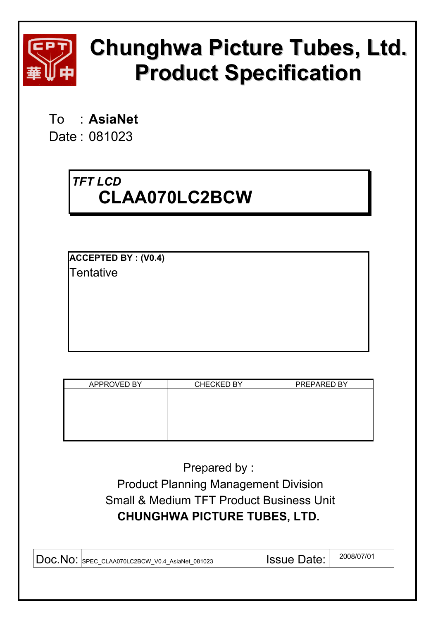

# **Chunghwa Picture Tubes, Ltd. Product Specification**

To : **AsiaNet** 

Date : 081023

# *TFT LCD*  **CLAA070LC2BCW**

**ACCEPTED BY : (V0.4) Tentative** 

| <b>APPROVED BY</b> | <b>CHECKED BY</b> | PREPARED BY |
|--------------------|-------------------|-------------|
|                    |                   |             |
|                    |                   |             |
|                    |                   |             |
|                    |                   |             |
|                    |                   |             |
|                    |                   |             |

Prepared by : Product Planning Management Division Small & Medium TFT Product Business Unit **CHUNGHWA PICTURE TUBES, LTD.** 

| DOC.NO: SPEC CLAA070LC2BCW V0.4 AsiaNet 081023 | <b>Issue Date:</b> | 2008/07/01 |
|------------------------------------------------|--------------------|------------|
|                                                |                    |            |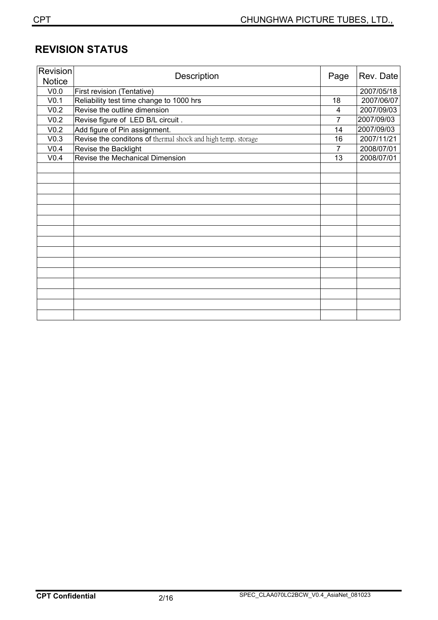## **REVISION STATUS**

| Revision         | Description                                                  |                | Rev. Date  |
|------------------|--------------------------------------------------------------|----------------|------------|
| <b>Notice</b>    |                                                              | Page           |            |
| V <sub>0.0</sub> | First revision (Tentative)                                   |                | 2007/05/18 |
| V <sub>0.1</sub> | Reliability test time change to 1000 hrs                     | 18             | 2007/06/07 |
| V <sub>0.2</sub> | Revise the outline dimension                                 | 4              | 2007/09/03 |
| V <sub>0.2</sub> | Revise figure of LED B/L circuit.                            | 7              | 2007/09/03 |
| V <sub>0.2</sub> | Add figure of Pin assignment.                                | 14             | 2007/09/03 |
| V <sub>0.3</sub> | Revise the conditons of thermal shock and high temp. storage | 16             | 2007/11/21 |
| V0.4             | Revise the Backlight                                         | $\overline{7}$ | 2008/07/01 |
| V <sub>0.4</sub> | Revise the Mechanical Dimension                              | 13             | 2008/07/01 |
|                  |                                                              |                |            |
|                  |                                                              |                |            |
|                  |                                                              |                |            |
|                  |                                                              |                |            |
|                  |                                                              |                |            |
|                  |                                                              |                |            |
|                  |                                                              |                |            |
|                  |                                                              |                |            |
|                  |                                                              |                |            |
|                  |                                                              |                |            |
|                  |                                                              |                |            |
|                  |                                                              |                |            |
|                  |                                                              |                |            |
|                  |                                                              |                |            |
|                  |                                                              |                |            |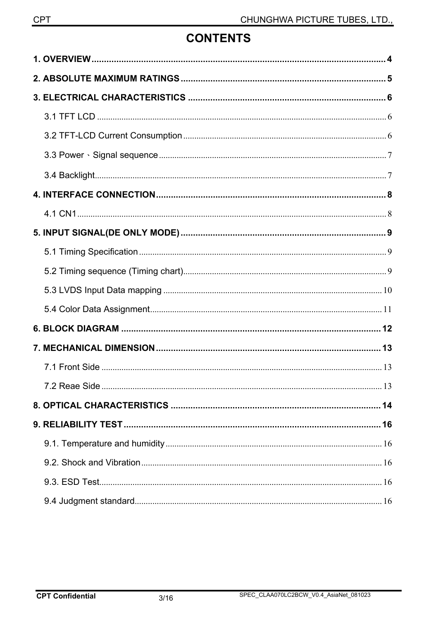## **CONTENTS**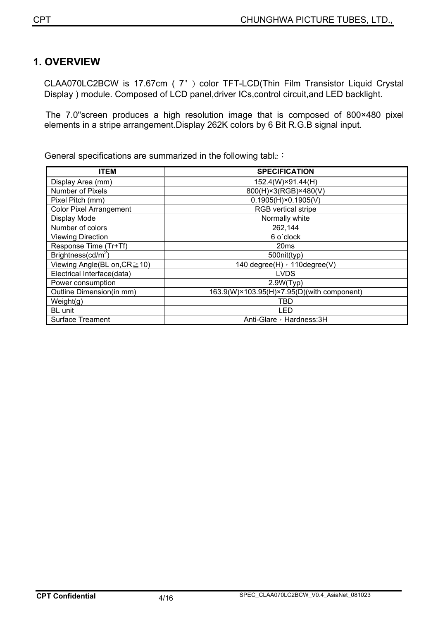## **1. OVERVIEW**

CLAA070LC2BCW is 17.67cm ( 7") color TFT-LCD(Thin Film Transistor Liquid Crystal Display ) module. Composed of LCD panel,driver ICs,control circuit,and LED backlight.

The 7.0"screen produces a high resolution image that is composed of 800×480 pixel elements in a stripe arrangement.Display 262K colors by 6 Bit R.G.B signal input.

General specifications are summarized in the following table :

| <b>ITEM</b>                        | <b>SPECIFICATION</b>                       |
|------------------------------------|--------------------------------------------|
| Display Area (mm)                  | 152.4(W)×91.44(H)                          |
| Number of Pixels                   | 800(H)×3(RGB)×480(V)                       |
| Pixel Pitch (mm)                   | $0.1905(H) \times 0.1905(V)$               |
| <b>Color Pixel Arrangement</b>     | <b>RGB</b> vertical stripe                 |
| Display Mode                       | Normally white                             |
| Number of colors                   | 262,144                                    |
| <b>Viewing Direction</b>           | 6 o'clock                                  |
| Response Time (Tr+Tf)              | 20ms                                       |
| Brightness( $cd/m2$ )              | 500nit(typ)                                |
| Viewing Angle(BL on, $CR \ge 10$ ) | 140 degree(H) , 110 degree(V)              |
| Electrical Interface(data)         | <b>LVDS</b>                                |
| Power consumption                  | 2.9W(Typ)                                  |
| Outline Dimension(in mm)           | 163.9(W)×103.95(H)×7.95(D)(with component) |
| Weight(g)                          | TBD                                        |
| <b>BL</b> unit                     | LED                                        |
| <b>Surface Treament</b>            | Anti-Glare, Hardness: 3H                   |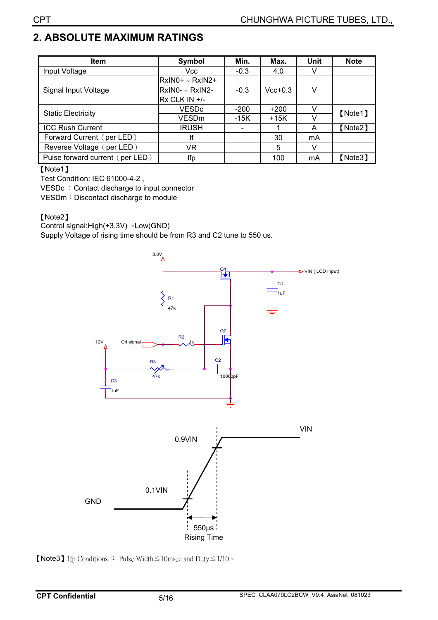## **2. ABSOLUTE MAXIMUM RATINGS**

| <b>Item</b>                     | Symbol               | Min.   | Max.      | <b>Unit</b> | <b>Note</b> |  |
|---------------------------------|----------------------|--------|-----------|-------------|-------------|--|
| Input Voltage                   | Vcc                  | $-0.3$ | 4.0       |             |             |  |
|                                 | $RxINO+ \sim RxIN2+$ |        |           |             |             |  |
| Signal Input Voltage            | RxIN0- ~ RxIN2-      | $-0.3$ | $Vcc+0.3$ | v           |             |  |
|                                 | Rx CLK IN +/-        |        |           |             |             |  |
|                                 | <b>VESDc</b>         | $-200$ | $+200$    |             | [Note1]     |  |
| <b>Static Electricity</b>       | VESDm                | -15K   | $+15K$    |             |             |  |
| <b>ICC Rush Current</b>         | <b>IRUSH</b>         |        |           | A           | [Note2]     |  |
| Forward Current (per LED)       | lf                   |        | 30        | mA          |             |  |
| Reverse Voltage (per LED)       | VR                   |        | 5         | v           |             |  |
| Pulse forward current (per LED) | Ifp                  |        | 100       | mA          | 【Note3】     |  |

#### [Note1]

Test Condition: IEC 61000-4-2 ,

VESDc : Contact discharge to input connector

VESDm: Discontact discharge to module

#### [Note2]

Control signal:High(+3.3V)
iLow(GND)

Supply Voltage of rising time should be from R3 and C2 tune to 550 us.



**[Note3]** If  $p$  Conditions : Pulse Width  $\leq$  10 msec and Duty  $\leq$  1/10  $\circ$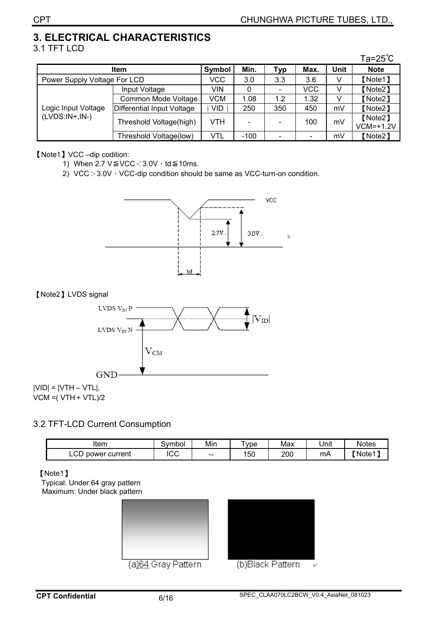#### **3. ELECTRICAL CHARACTERISTICS**  3.1 TFT LCD

|                                         |                            |            |      |     |                |             | Ta= $25^{\circ}$ C |
|-----------------------------------------|----------------------------|------------|------|-----|----------------|-------------|--------------------|
| <b>Item</b>                             |                            | Symbol     | Min. | Typ | Max.           | <b>Unit</b> | <b>Note</b>        |
| Power Supply Voltage For LCD            |                            | <b>VCC</b> | 3.0  | 3.3 | 3.6            | V           | [Note1]            |
| Logic Input Voltage<br>$(LVDS:IN+,IN-)$ | Input Voltage              | VIN        | 0    |     | <b>VCC</b>     | v           | [Note2]            |
|                                         | Common Mode Voltage        | VCM        | 1.08 | 1.2 | 1.32           | v           | [Note2]            |
|                                         | Differential Input Voltage | <b>VID</b> | 250  | 350 | 450            | mV          | [Note2]            |
|                                         | Threshold Voltage(high)    | VTH        |      |     | 100            | mV          | [Note2]            |
|                                         |                            |            |      |     |                |             | $VCM=+1.2V$        |
|                                         | Threshold Voltage(low)     | VTL        | -100 |     | $\blacksquare$ | mV          | [Note2]            |

[Note1] VCC –dip codition:

1) When 2.7  $V \leq VCC < 3.0V \cdot td \leq 10ms$ .

2) VCC $>3.0V$ <sup>,</sup> VCC-dip condition should be same as VCC-turn-on condition.



#### [Note2] LVDS signal



#### 3.2 TFT-LCD Current Consumption

| Item                    | `vmboi :      | Min                      | vpe | Max | .<br>Unit | <b>Notes</b> |
|-------------------------|---------------|--------------------------|-----|-----|-----------|--------------|
| ∵current<br>power<br>└─ | $\sim$<br>.uu | $\overline{\phantom{a}}$ | 150 | 200 | mА        | ∡Note1 ∡     |

#### [Note1]

Typical: Under 64 gray pattern Maximum: Under black pattern



(a)64 Gray Pattern



(b)Black Pattern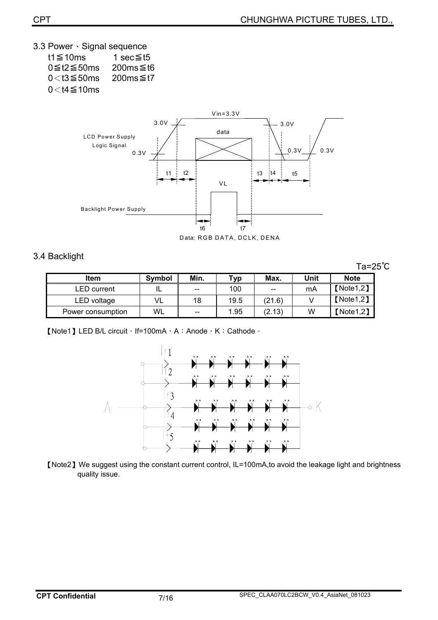3.3 Power Signal sequence

| t1≦10ms                | 1 sec≦t5     |
|------------------------|--------------|
| $0 \leq t2 \leq 50$ ms | 200 $ms$ ≤t6 |
| $0<$ t3 $\leq$ 50 ms   | 200 $ms$ ≤t7 |
| $0<$ t4 $\leq$ 10ms    |              |



Data: RGB DATA, DCLK, DENA

#### 3.4 Backlight

Ta=25℃

| <b>Item</b>       | <b>Symbol</b> | Min.  | тур  | Max.   | Unit | <b>Note</b> |
|-------------------|---------------|-------|------|--------|------|-------------|
| LED current       |               | $- -$ | 100  | $- -$  | mA   | [Note 1, 2] |
| LED voltage       |               | 18    | 19.5 | (21.6) |      | [Note 1, 2] |
| Power consumption | WL            | $- -$ | 1.95 | (2.13) | W    | [Note1, 2]  |

**[Note1] LED B/L circuit**, If=100mA, A: Anode, K: Cathode.



[Note2] We suggest using the constant current control, IL=100mA,to avoid the leakage light and brightness quality issue.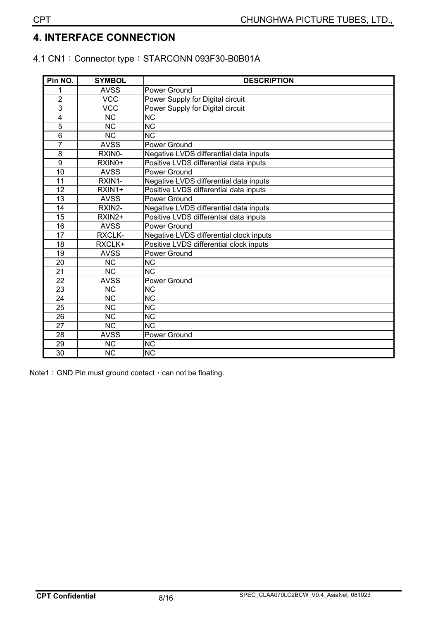## **4. INTERFACE CONNECTION**

#### 4.1 CN1: Connector type: STARCONN 093F30-B0B01A

| Pin NO.         | <b>SYMBOL</b>          | <b>DESCRIPTION</b>                      |
|-----------------|------------------------|-----------------------------------------|
|                 | <b>AVSS</b>            | Power Ground                            |
| $\overline{2}$  | <b>VCC</b>             | Power Supply for Digital circuit        |
| $\overline{3}$  | <b>VCC</b>             | Power Supply for Digital circuit        |
| 4               | <b>NC</b>              | <b>NC</b>                               |
| 5               | $\overline{\text{NC}}$ | $\overline{\text{NC}}$                  |
| $\overline{6}$  | <b>NC</b>              | <b>NC</b>                               |
| $\overline{7}$  | <b>AVSS</b>            | Power Ground                            |
| 8               | RXIN0-                 | Negative LVDS differential data inputs  |
| 9               | RXIN0+                 | Positive LVDS differential data inputs  |
| 10              | <b>AVSS</b>            | Power Ground                            |
| 11              | RXIN1-                 | Negative LVDS differential data inputs  |
| 12              | RXIN1+                 | Positive LVDS differential data inputs  |
| $\overline{13}$ | <b>AVSS</b>            | Power Ground                            |
| 14              | RXIN2-                 | Negative LVDS differential data inputs  |
| 15              | RXIN2+                 | Positive LVDS differential data inputs  |
| $\overline{16}$ | <b>AVSS</b>            | Power Ground                            |
| 17              | RXCLK-                 | Negative LVDS differential clock inputs |
| 18              | RXCLK+                 | Positive LVDS differential clock inputs |
| 19              | <b>AVSS</b>            | Power Ground                            |
| 20              | <b>NC</b>              | <b>NC</b>                               |
| 21              | $\overline{\text{NC}}$ | $\overline{\text{NC}}$                  |
| 22              | <b>AVSS</b>            | Power Ground                            |
| $\overline{23}$ | <b>NC</b>              | <b>NC</b>                               |
| 24              | <b>NC</b>              | <b>NC</b>                               |
| $\overline{25}$ | $\overline{\text{NC}}$ | $\overline{\text{NC}}$                  |
| 26              | $\overline{\text{NC}}$ | $\overline{\text{NC}}$                  |
| $\overline{27}$ | <b>NC</b>              | <b>NC</b>                               |
| 28              | <b>AVSS</b>            | Power Ground                            |
| $\overline{29}$ | $\overline{\text{NC}}$ | <b>NC</b>                               |
| $\overline{30}$ | <b>NC</b>              | $\overline{\text{NC}}$                  |

Note1: GND Pin must ground contact  $\cdot$  can not be floating.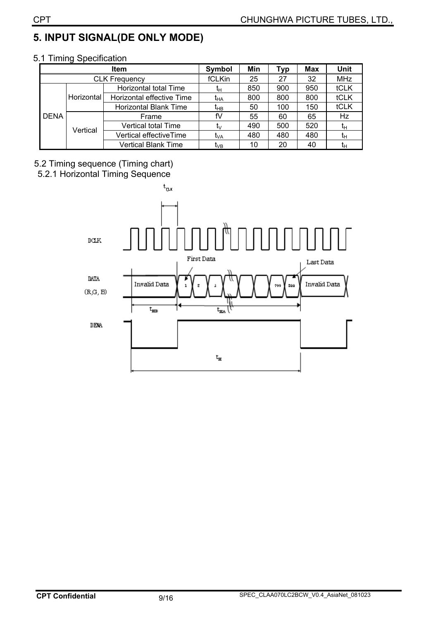## **5. INPUT SIGNAL(DE ONLY MODE)**

|             | <b>Typ</b>           | <b>Max</b>                   | <b>Unit</b>     |     |     |     |             |
|-------------|----------------------|------------------------------|-----------------|-----|-----|-----|-------------|
|             | <b>CLK Frequency</b> |                              |                 | 25  | 27  | 32  | <b>MHz</b>  |
|             |                      | Horizontal total Time        | łн              | 850 | 900 | 950 | tCLK        |
| <b>DENA</b> | <b>Horizontal</b>    | Horizontal effective Time    | t <sub>на</sub> | 800 | 800 | 800 | <b>tCLK</b> |
|             |                      | <b>Horizontal Blank Time</b> | t <sub>нв</sub> | 50  | 100 | 150 | <b>tCLK</b> |
|             |                      | Frame                        | fV              | 55  | 60  | 65  | Hz          |
|             | Vertical             | Vertical total Time          | ī۷              | 490 | 500 | 520 | tμ          |
|             |                      | Vertical effectiveTime       | t <sub>VA</sub> | 480 | 480 | 480 | tн          |
|             |                      | <b>Vertical Blank Time</b>   | t <sub>∨B</sub> | 10  | 20  | 40  | tн          |

#### 5.1 Timing Specification

#### 5.2 Timing sequence (Timing chart) 5.2.1 Horizontal Timing Sequence

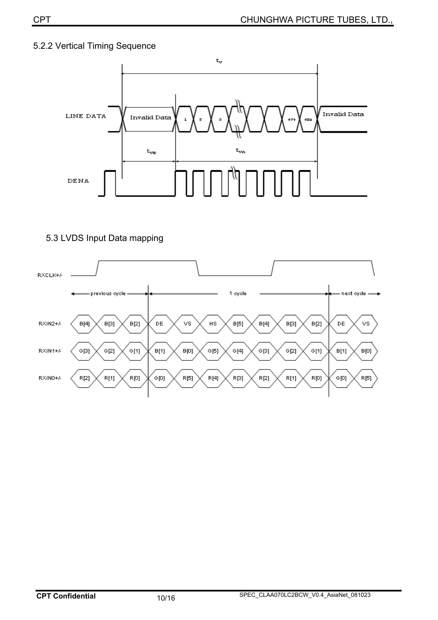#### 5.2.2 Vertical Timing Sequence



#### 5.3 LVDS Input Data mapping

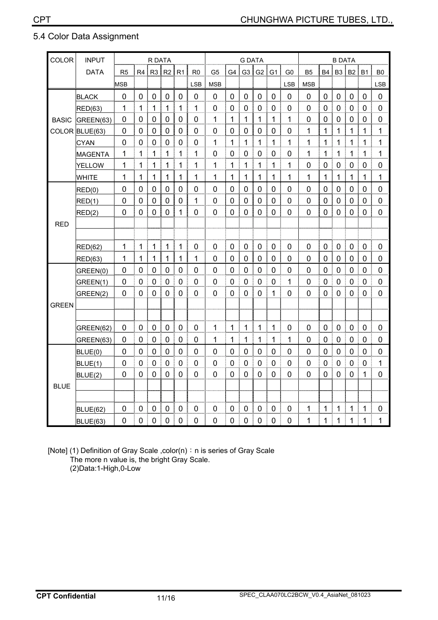#### 5.4 Color Data Assignment

| <b>COLOR</b> | <b>INPUT</b>    | R DATA         |                |                |                | <b>G DATA</b>  |                |                  |                | <b>B DATA</b>  |                |                |                |              |                |                |                |             |                |
|--------------|-----------------|----------------|----------------|----------------|----------------|----------------|----------------|------------------|----------------|----------------|----------------|----------------|----------------|--------------|----------------|----------------|----------------|-------------|----------------|
|              | <b>DATA</b>     | R <sub>5</sub> | R <sub>4</sub> | R <sub>3</sub> | R2             | R1             | R <sub>0</sub> | G <sub>5</sub>   | G <sub>4</sub> | G <sub>3</sub> | G <sub>2</sub> | G <sub>1</sub> | G <sub>0</sub> | <b>B5</b>    | <b>B4</b>      | B <sub>3</sub> | <b>B2</b>      | <b>B1</b>   | B <sub>0</sub> |
|              |                 | <b>MSB</b>     |                |                |                |                | <b>LSB</b>     | <b>MSB</b>       |                |                |                |                | <b>LSB</b>     | <b>MSB</b>   |                |                |                |             | <b>LSB</b>     |
|              | <b>BLACK</b>    | 0              | 0              | $\mathbf 0$    | $\mathbf 0$    | $\overline{0}$ | $\mathbf 0$    | $\mathbf 0$      | $\mathbf 0$    | 0              | $\mathbf 0$    | 0              | 0              | $\mathbf 0$  | 0              | 0              | $\mathbf 0$    | 0           | $\mathbf 0$    |
|              | RED(63)         | 1              | 1              | 1              | 1              | 1              | 1              | 0                | 0              | 0              | 0              | 0              | 0              | 0            | 0              | 0              | 0              | 0           | 0              |
| <b>BASIC</b> | GREEN(63)       | 0              | $\mathbf 0$    | $\Omega$       | $\overline{0}$ | 0              | $\mathbf 0$    | $\mathbf 1$      | $\mathbf{1}$   | $\mathbf{1}$   | $\mathbf{1}$   | $\mathbf{1}$   | $\mathbf{1}$   | $\mathbf 0$  | $\overline{0}$ | $\overline{0}$ | $\mathbf 0$    | $\Omega$    | $\pmb{0}$      |
|              | COLOR BLUE(63)  | 0              | 0              | $\mathbf 0$    | $\mathbf 0$    | 0              | $\mathbf 0$    | 0                | $\mathbf 0$    | 0              | $\mathbf 0$    | $\Omega$       | 0              | $\mathbf{1}$ | $\mathbf{1}$   | 1              | $\mathbf{1}$   | 1           | $\mathbf 1$    |
|              | <b>CYAN</b>     | $\mathbf 0$    | $\mathbf 0$    | $\mathbf 0$    | $\mathbf 0$    | 0              | $\pmb{0}$      | $\mathbf 1$      | $\mathbf 1$    | 1              | 1              | 1              | $\mathbf{1}$   | 1            | $\mathbf{1}$   | 1              | $\mathbf{1}$   | 1           | $\mathbf 1$    |
|              | <b>MAGENTA</b>  | 1              | 1              | 1              | 1              | $\mathbf{1}$   | 1              | $\mathbf 0$      | 0              | $\mathbf 0$    | $\mathbf 0$    | 0              | 0              | 1            | 1              | 1              | $\mathbf{1}$   | 1           | $\mathbf 1$    |
|              | <b>YELLOW</b>   | 1              | 1              | $\mathbf{1}$   | $\mathbf{1}$   | $\mathbf{1}$   | 1              | $\mathbf 1$      | $\mathbf{1}$   | $\mathbf{1}$   | 1              | $\mathbf{1}$   | $\mathbf{1}$   | $\mathbf 0$  | $\mathbf 0$    | $\mathbf 0$    | $\mathbf 0$    | 0           | $\mathbf 0$    |
|              | <b>WHITE</b>    | 1              | 1              | 1              | $\overline{1}$ | 1              | 1              | 1                | $\mathbf{1}$   | 1              | $\mathbf{1}$   | 1              | 1              | 1            | 1              | 1              | $\mathbf{1}$   | 1           | 1              |
|              | RED(0)          | $\mathbf 0$    | 0              | $\mathbf 0$    | $\mathbf 0$    | $\pmb{0}$      | $\mathbf 0$    | $\pmb{0}$        | 0              | $\mathbf 0$    | $\mathbf 0$    | 0              | 0              | $\mathbf 0$  | $\mathbf 0$    | $\mathbf 0$    | $\mathbf 0$    | 0           | $\mathbf 0$    |
|              | RED(1)          | $\mathbf 0$    | 0              | $\mathbf 0$    | $\mathbf 0$    | 0              | 1              | $\boldsymbol{0}$ | $\mathbf 0$    | $\mathbf 0$    | $\mathbf 0$    | 0              | $\mathbf 0$    | $\mathbf 0$  | $\mathbf 0$    | $\mathbf 0$    | $\mathbf 0$    | 0           | 0              |
|              | RED(2)          | $\mathbf 0$    | $\mathbf 0$    | $\mathbf 0$    | $\mathbf 0$    | 1              | $\mathbf 0$    | $\mathbf 0$      | $\mathbf 0$    | $\mathbf 0$    | $\mathbf 0$    | $\mathbf 0$    | 0              | $\mathbf 0$  | $\mathbf 0$    | $\mathbf 0$    | $\mathbf 0$    | 0           | $\mathbf 0$    |
| <b>RED</b>   |                 |                |                |                |                |                |                |                  |                |                |                |                |                |              |                |                |                |             |                |
|              |                 |                |                |                |                |                |                |                  |                |                |                |                |                |              |                |                |                |             |                |
|              | <b>RED(62)</b>  | $\mathbf{1}$   | 1              | $\mathbf{1}$   | $\mathbf{1}$   | $\mathbf{1}$   | $\mathbf 0$    | $\mathbf 0$      | $\mathbf 0$    | $\mathbf 0$    | $\mathbf 0$    | $\mathbf 0$    | 0              | $\mathbf 0$  | $\mathbf 0$    | $\mathbf 0$    | $\mathbf 0$    | $\mathbf 0$ | $\mathbf 0$    |
|              | <b>RED(63)</b>  | 1              | 1              | 1              | 1              | 1              | 1              | $\mathbf 0$      | 0              | $\mathbf 0$    | $\mathbf 0$    | $\mathbf 0$    | 0              | $\mathbf 0$  | $\pmb{0}$      | $\mathbf 0$    | $\mathbf 0$    | $\mathbf 0$ | $\mathbf 0$    |
|              | GREEN(0)        | 0              | 0              | 0              | $\mathbf 0$    | 0              | $\mathbf 0$    | $\mathbf 0$      | $\mathbf 0$    | 0              | $\mathbf 0$    | 0              | $\mathbf 0$    | $\mathbf 0$  | 0              | $\overline{0}$ | $\mathbf 0$    | 0           | $\mathbf 0$    |
|              | GREEN(1)        | $\mathbf 0$    | 0              | 0              | 0              | 0              | $\mathbf 0$    | $\pmb{0}$        | 0              | 0              | 0              | $\mathbf 0$    | $\mathbf{1}$   | $\mathbf 0$  | $\overline{0}$ | 0              | 0              | 0           | $\mathbf 0$    |
|              | GREEN(2)        | 0              | 0              | 0              | $\overline{0}$ | 0              | $\mathbf 0$    | $\overline{0}$   | 0              | 0              | $\mathbf 0$    | 1              | 0              | $\mathbf 0$  | $\overline{0}$ | 0              | $\mathbf 0$    | 0           | 0              |
| <b>GREEN</b> |                 |                |                |                |                |                |                |                  |                |                |                |                |                |              |                |                |                |             |                |
|              |                 |                |                |                |                |                |                |                  |                |                |                |                |                |              |                |                |                |             |                |
|              | GREEN(62)       | $\pmb{0}$      | 0              | $\mathbf 0$    | $\mathbf 0$    | 0              | $\pmb{0}$      | $\mathbf{1}$     | $\mathbf{1}$   | $\mathbf 1$    | $\mathbf{1}$   | $\mathbf{1}$   | 0              | $\mathbf 0$  | $\pmb{0}$      | $\pmb{0}$      | $\mathbf 0$    | $\mathbf 0$ | $\pmb{0}$      |
|              | GREEN(63)       | 0              | 0              | 0              | $\mathbf 0$    | 0              | $\mathbf 0$    | 1                | 1              | 1              | 1              | 1              | 1              | 0            | 0              | $\mathbf 0$    | $\mathbf 0$    | 0           | 0              |
|              | BLUE(0)         | 0              | $\mathbf 0$    | $\mathbf 0$    | $\mathbf 0$    | 0              | $\overline{0}$ | $\pmb{0}$        | $\mathbf 0$    | 0              | $\mathbf 0$    | $\Omega$       | 0              | $\mathbf 0$  | $\overline{0}$ | $\mathbf 0$    | $\overline{0}$ | $\Omega$    | $\pmb{0}$      |
|              | BLUE(1)         | 0              | $\overline{0}$ | 0              | $\mathbf 0$    | 0              | $\mathbf 0$    | $\pmb{0}$        | $\mathbf 0$    | $\overline{0}$ | $\mathbf 0$    | $\mathbf 0$    | 0              | $\mathbf 0$  | $\mathbf 0$    | 0              | $\mathbf 0$    | 0           | $\mathbf 1$    |
|              | BLUE(2)         | 0              | $\mathbf 0$    | $\mathbf 0$    | $\mathbf 0$    | 0              | $\mathbf 0$    | $\boldsymbol{0}$ | 0              | $\mathbf 0$    | $\mathbf 0$    | $\mathbf 0$    | $\mathbf 0$    | $\mathbf 0$  | $\mathbf 0$    | $\mathbf 0$    | $\mathbf 0$    | 1           | $\mathbf 0$    |
| <b>BLUE</b>  |                 |                |                |                |                |                |                |                  |                |                |                |                |                |              |                |                |                |             |                |
|              |                 |                |                |                |                |                |                |                  |                |                |                |                |                |              |                |                |                |             |                |
|              | <b>BLUE(62)</b> | $\mathbf 0$    | 0              | $\mathbf 0$    | $\mathbf 0$    | $\mathbf 0$    | $\mathbf 0$    | $\mathbf 0$      | 0              | $\mathbf 0$    | $\mathbf 0$    | $\mathbf 0$    | 0              | $\mathbf{1}$ | 1              | 1              | $\mathbf{1}$   | 1           | 0              |
|              | BLUE(63)        | 0              | $\overline{0}$ | 0              | 0              | 0              | 0              | 0                | $\overline{0}$ | 0              | $\mathbf 0$    | $\mathbf 0$    | $\overline{0}$ | 1            | 1              | 1              | 1              | 1           | 1              |

[Note] (1) Definition of Gray Scale ,color(n): n is series of Gray Scale The more n value is, the bright Gray Scale.

(2)Data:1-High,0-Low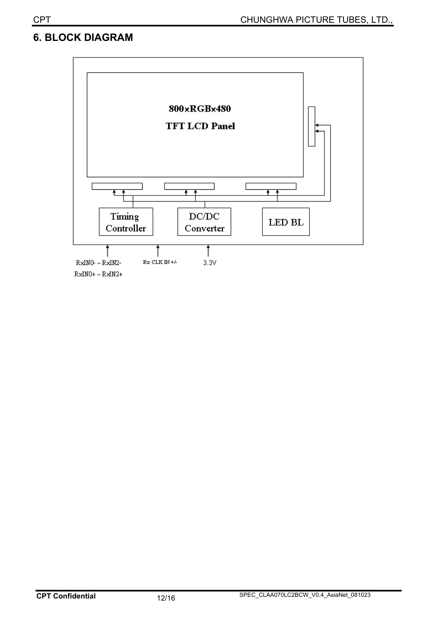## **6. BLOCK DIAGRAM**

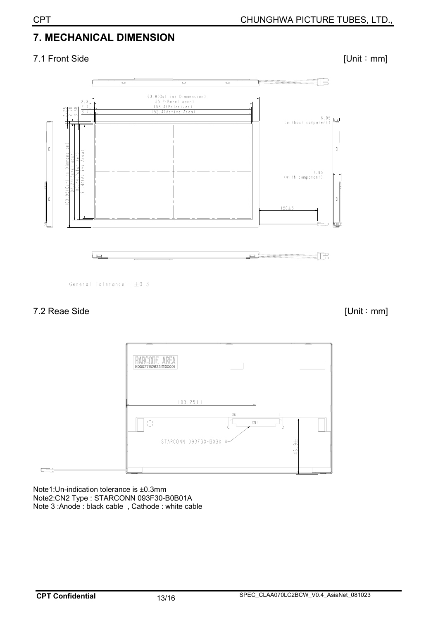## **7. MECHANICAL DIMENSION**

### 7.1 Front Side [Unit: mm]



General Tolerance =  $\pm 0.3$ 

#### 7.2 Reae Side [Unit: mm]



Note1:Un-indication tolerance is ±0.3mm Note2:CN2 Type : STARCONN 093F30-B0B01A Note 3 :Anode : black cable , Cathode : white cable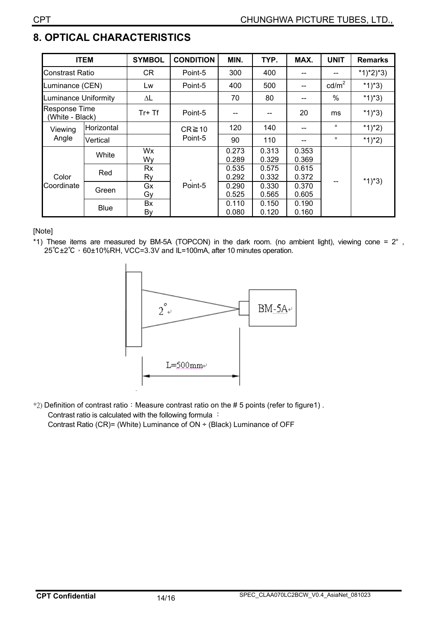## **8. OPTICAL CHARACTERISTICS**

|                                         | <b>ITEM</b> | <b>SYMBOL</b>   | <b>CONDITION</b> | MIN.           | TYP.           | MAX.           | <b>UNIT</b>     | <b>Remarks</b> |  |
|-----------------------------------------|-------------|-----------------|------------------|----------------|----------------|----------------|-----------------|----------------|--|
| Constrast Ratio                         |             | <b>CR</b>       | Point-5          | 300            | 400            | --             | --              | $*1)*2)*3)$    |  |
| Luminance (CEN)                         |             | Lw              | Point-5          | 400            | 500            | --             | $\text{cd/m}^2$ | $*1)*3)$       |  |
| <b>Luminance Uniformity</b>             |             | ΔL              |                  | 70             | 80             | --             | $\%$            | $*1)*3)$       |  |
| <b>Response Time</b><br>(White - Black) |             | $Tr+Tf$         | Point-5          |                |                | 20             | ms              | $*1)*3)$       |  |
| Viewing                                 | Horizontal  |                 | $CR \ge 10$      | 120            | 140            | $- -$          | $\circ$         | $*1)*2)$       |  |
| Angle                                   | Vertical    |                 | Point-5          | 90             | 110            |                | $\circ$         | *1)*2)         |  |
| Color<br>Coordinate                     | White       | Wx<br>Wy        |                  | 0.273<br>0.289 | 0.313<br>0.329 | 0.353<br>0.369 |                 | $*1)*3)$       |  |
|                                         | Red         | <b>Rx</b><br>Ry |                  | 0.535<br>0.292 | 0.575<br>0.332 | 0.615<br>0.372 |                 |                |  |
|                                         | Green       | Gx<br>Gy        | Point-5          | 0.290<br>0.525 | 0.330<br>0.565 | 0.370<br>0.605 |                 |                |  |
|                                         | <b>Blue</b> | Bx<br>By        |                  | 0.110<br>0.080 | 0.150<br>0.120 | 0.190<br>0.160 |                 |                |  |

[Note]

\*1) These items are measured by BM-5A (TOPCON) in the dark room. (no ambient light), viewing cone = 2° , 25°C±2°C ⋅ 60±10%RH, VCC=3.3V and IL=100mA, after 10 minutes operation.



<sup>\*2</sup>) Definition of contrast ratio: Measure contrast ratio on the # 5 points (refer to figure1). Contrast ratio is calculated with the following formula : Contrast Ratio (CR)= (White) Luminance of ON ÷ (Black) Luminance of OFF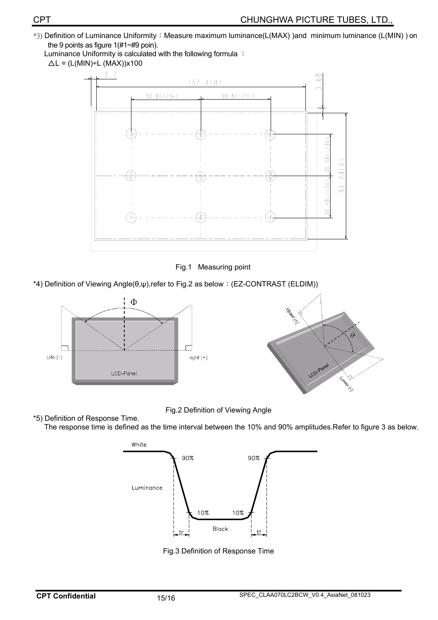<sup>\*3</sup>) Definition of Luminance Uniformity: Measure maximum luminance(L(MAX) )and minimum luminance (L(MIN) ) on the 9 points as figure 1(#1~#9 poin).

Luminance Uniformity is calculated with the following formula :



Fig.1 Measuring point

\*4) Definition of Viewing Angle( $\theta, \psi$ ),refer to Fig.2 as below: (EZ-CONTRAST (ELDIM))



Fig.2 Definition of Viewing Angle

\*5) Definition of Response Time. The response time is defined as the time interval between the 10% and 90% amplitudes.Refer to figure 3 as below.



Fig.3 Definition of Response Time